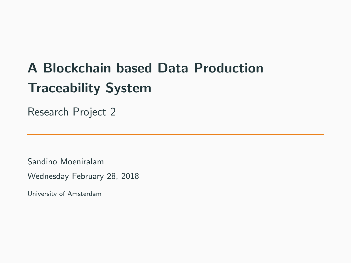## A Blockchain based Data Production Traceability System

Research Project 2

Sandino Moeniralam

Wednesday February 28, 2018

University of Amsterdam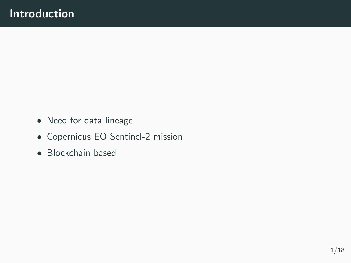- Need for data lineage
- Copernicus EO Sentinel-2 mission
- Blockchain based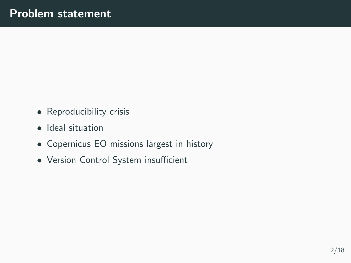- Reproducibility crisis
- Ideal situation
- Copernicus EO missions largest in history
- Version Control System insufficient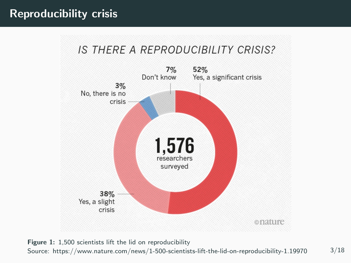## **IS THERE A REPRODUCIBILITY CRISIS?**



Figure 1: 1,500 scientists lift the lid on reproducibility Source: https://www.nature.com/news/1-500-scientists-lift-the-lid-on-reproducibility-1.19970 3/18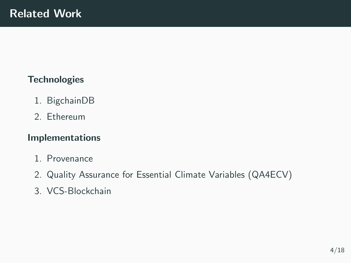#### **Technologies**

- 1. BigchainDB
- 2. Ethereum

#### Implementations

- 1. Provenance
- 2. Quality Assurance for Essential Climate Variables (QA4ECV)
- 3. VCS-Blockchain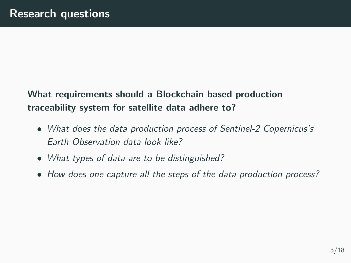## What requirements should a Blockchain based production traceability system for satellite data adhere to?

- What does the data production process of Sentinel-2 Copernicus's Earth Observation data look like?
- What types of data are to be distinguished?
- How does one capture all the steps of the data production process?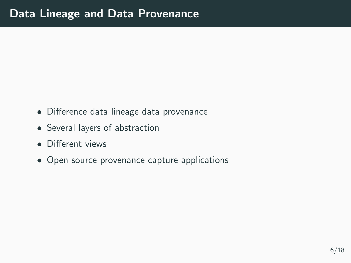- Difference data lineage data provenance
- Several layers of abstraction
- Different views
- Open source provenance capture applications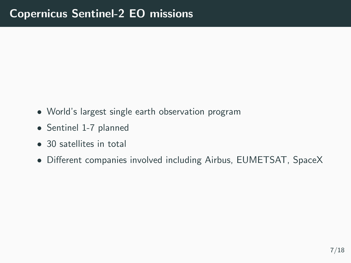- World's largest single earth observation program
- Sentinel 1-7 planned
- 30 satellites in total
- Different companies involved including Airbus, EUMETSAT, SpaceX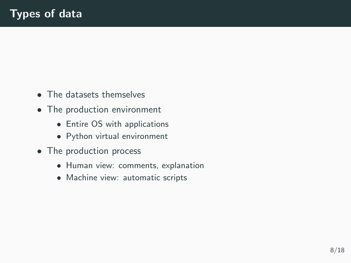- The datasets themselves
- The production environment
	- Entire OS with applications
	- Python virtual environment
- The production process
	- Human view: comments, explanation
	- Machine view: automatic scripts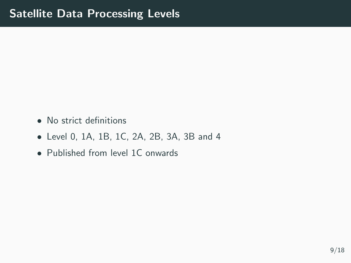- No strict definitions
- Level 0, 1A, 1B, 1C, 2A, 2B, 3A, 3B and 4
- Published from level 1C onwards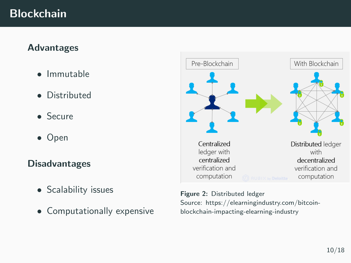## **Blockchain**

#### Advantages

- Immutable
- Distributed
- Secure
- Open

#### Disadvantages

- Scalability issues
- Computationally expensive



Figure 2: Distributed ledger Source: https://elearningindustry.com/bitcoinblockchain-impacting-elearning-industry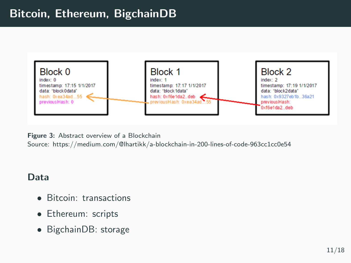## Bitcoin, Ethereum, BigchainDB



Figure 3: Abstract overview of a Blockchain

Source: https://medium.com/@lhartikk/a-blockchain-in-200-lines-of-code-963cc1cc0e54

#### Data

- Bitcoin: transactions
- Ethereum: scripts
- BigchainDB: storage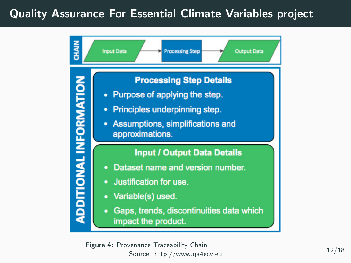## Quality Assurance For Essential Climate Variables project



Figure 4: Provenance Traceability Chain Source: http://www.qa4ecv.eu 12/18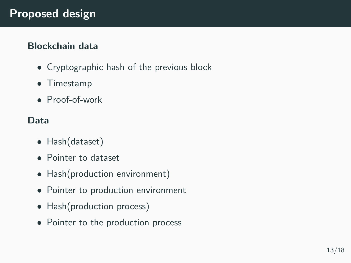### Blockchain data

- Cryptographic hash of the previous block
- Timestamp
- Proof-of-work

## Data

- Hash(dataset)
- Pointer to dataset
- Hash(production environment)
- Pointer to production environment
- Hash(production process)
- Pointer to the production process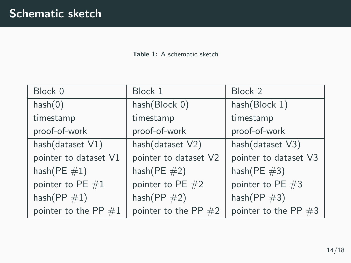Table 1: A schematic sketch

| Block 0                | Block 1                | Block 2                |
|------------------------|------------------------|------------------------|
| hash(0)                | hash(Block 0)          | hash(Block 1)          |
| timestamp              | timestamp              | timestamp              |
| proof-of-work          | proof-of-work          | proof-of-work          |
| hash(dataset V1)       | hash(dataset V2)       | hash(dataset V3)       |
| pointer to dataset V1  | pointer to dataset V2  | pointer to dataset V3  |
| hash $(PE #1)$         | hash $(PE \#2)$        | hash $(PE#3)$          |
| pointer to PE $#1$     | pointer to $PE$ $#2$   | pointer to PE $#3$     |
| hash $(PP #1)$         | hash $(PP \#2)$        | hash $(PP \#3)$        |
| pointer to the PP $#1$ | pointer to the PP $#2$ | pointer to the PP $#3$ |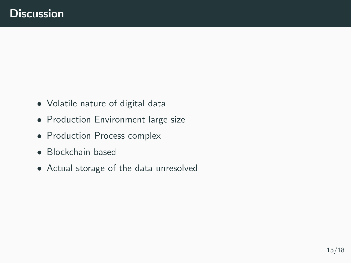- Volatile nature of digital data
- Production Environment large size
- Production Process complex
- Blockchain based
- Actual storage of the data unresolved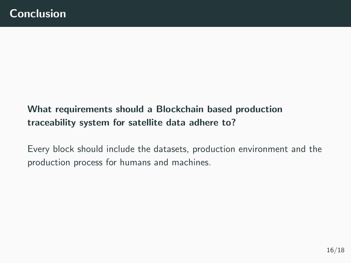## What requirements should a Blockchain based production traceability system for satellite data adhere to?

Every block should include the datasets, production environment and the production process for humans and machines.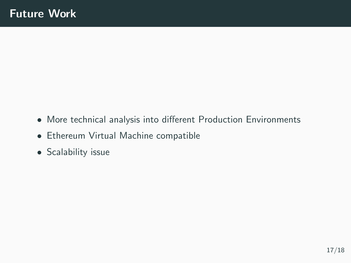- More technical analysis into different Production Environments
- Ethereum Virtual Machine compatible
- Scalability issue